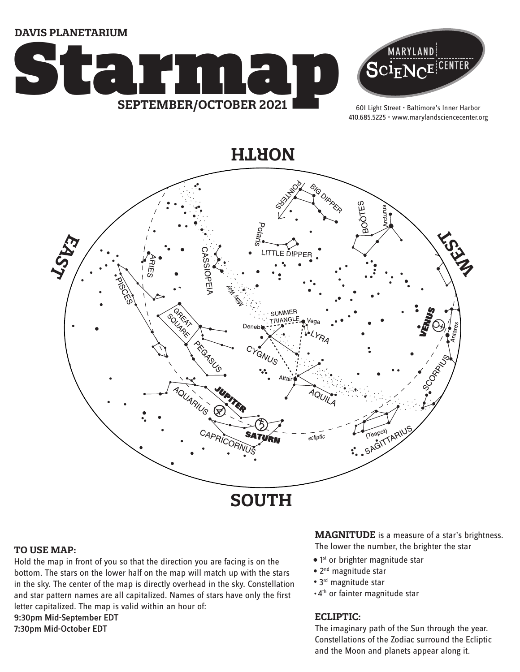**DAVIS PLANETARIUM**





601 Light Street • Baltimore's Inner Harbor 410.685.5225 • www.marylandsciencecenter.org

**NORTH**



#### **TO USE MAP:**

Hold the map in front of you so that the direction you are facing is on the bottom. The stars on the lower half on the map will match up with the stars in the sky. The center of the map is directly overhead in the sky. Constellation and star pattern names are all capitalized. Names of stars have only the first letter capitalized. The map is valid within an hour of: 9:30pm Mid-September EDT

7:30pm Mid-October EDT

### **MAGNITUDE** is a measure of a star's brightness.

The lower the number, the brighter the star

- $\bullet$  1st or brighter magnitude star
- 2<sup>nd</sup> magnitude star
- 3<sup>rd</sup> magnitude star
- 4th or fainter magnitude star

### **ECLIPTIC:**

The imaginary path of the Sun through the year. Constellations of the Zodiac surround the Ecliptic and the Moon and planets appear along it.